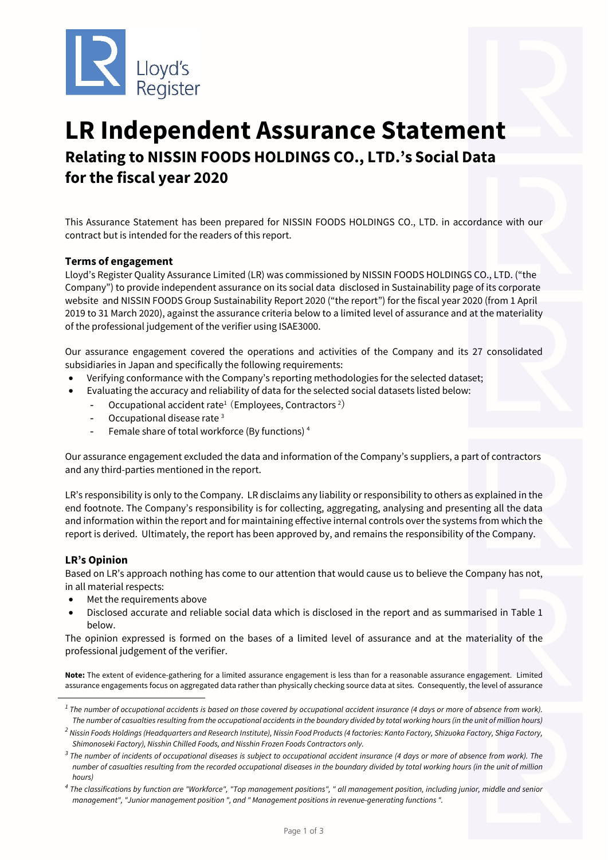

# **LR Independent Assurance Statement Relating to NISSIN FOODS HOLDINGS CO., LTD.'s Social Data for the fiscal year 2020**

This Assurance Statement has been prepared for NISSIN FOODS HOLDINGS CO., LTD. in accordance with our contract but is intended for the readers of this report.

## **Terms of engagement**

Lloyd's Register Quality Assurance Limited (LR) was commissioned by NISSIN FOODS HOLDINGS CO., LTD. ("the Company") to provide independent assurance on its social data disclosed in Sustainability page of its corporate website and NISSIN FOODS Group Sustainability Report 2020 ("the report") for the fiscal year 2020 (from 1 April 2019 to 31 March 2020), against the assurance criteria below to a limited level of assurance and at the materiality of the professional judgement of the verifier using ISAE3000.

Our assurance engagement covered the operations and activities of the Company and its 27 consolidated subsidiaries in Japan and specifically the following requirements:

- Verifying conformance with the Company's reporting methodologies for the selected dataset;
	- Evaluating the accuracy and reliability of data for the selected social datasets listed below:
		- Occupational accident rate<sup>1</sup> (Employees, Contractors<sup>2</sup>)
		- Occupational disease rate<sup>3</sup>
		- Female share of total workforce (By functions) 4

Our assurance engagement excluded the data and information of the Company's suppliers, a part of contractors and any third-parties mentioned in the report.

LR's responsibility is only to the Company. LR disclaims any liability or responsibility to others as explained in the end footnote. The Company's responsibility is for collecting, aggregating, analysing and presenting all the data and information within the report and for maintaining effective internal controls over the systems from which the report is derived. Ultimately, the report has been approved by, and remains the responsibility of the Company.

### **LR's Opinion**

Based on LR's approach nothing has come to our attention that would cause us to believe the Company has not, in all material respects:

- Met the requirements above
- Disclosed accurate and reliable social data which is disclosed in the report and as summarised in Table 1 below.

The opinion expressed is formed on the bases of a limited level of assurance and at the materiality of the professional judgement of the verifier.

**Note:** The extent of evidence-gathering for a limited assurance engagement is less than for a reasonable assurance engagement. Limited assurance engagements focus on aggregated data rather than physically checking source data at sites. Consequently, the level of assurance

*<sup>1</sup> The number of occupational accidents is based on those covered by occupational accident insurance (4 days or more of absence from work). The number of casualties resulting from the occupational accidents in the boundary divided by total working hours (in the unit of million hours)* 

*<sup>2</sup> Nissin Foods Holdings (Headquarters and Research Institute), Nissin Food Products (4 factories: Kanto Factory, Shizuoka Factory, Shiga Factory, Shimonoseki Factory), Nisshin Chilled Foods, and Nisshin Frozen Foods Contractors only.*

*<sup>3</sup> The number of incidents of occupational diseases is subject to occupational accident insurance (4 days or more of absence from work). The number of casualties resulting from the recorded occupational diseases in the boundary divided by total working hours (in the unit of million hours)* 

*<sup>4</sup> The classifications by function are "Workforce", "Top management positions", " all management position, including junior, middle and senior management", "Junior management position ", and " Management positions in revenue-generating functions ".*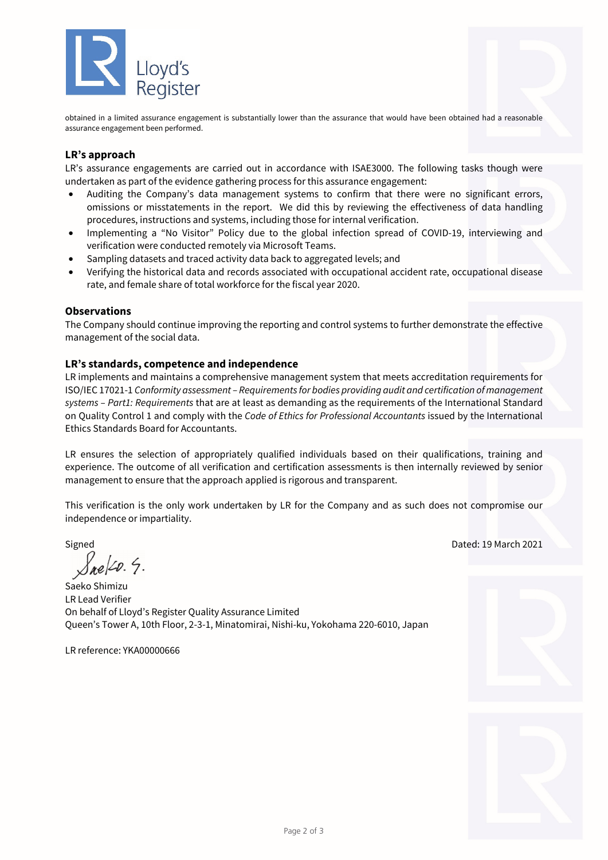

obtained in a limited assurance engagement is substantially lower than the assurance that would have been obtained had a reasonable assurance engagement been performed.

## **LR's approach**

LR's assurance engagements are carried out in accordance with ISAE3000. The following tasks though were undertaken as part of the evidence gathering process for this assurance engagement:

- Auditing the Company's data management systems to confirm that there were no significant errors, omissions or misstatements in the report. We did this by reviewing the effectiveness of data handling procedures, instructions and systems, including those for internal verification.
- Implementing a "No Visitor" Policy due to the global infection spread of COVID-19, interviewing and verification were conducted remotely via Microsoft Teams.
- Sampling datasets and traced activity data back to aggregated levels; and
- Verifying the historical data and records associated with occupational accident rate, occupational disease rate, and female share of total workforce for the fiscal year 2020.

#### **Observations**

The Company should continue improving the reporting and control systems to further demonstrate the effective management of the social data.

#### **LR's standards, competence and independence**

LR implements and maintains a comprehensive management system that meets accreditation requirements for ISO/IEC 17021-1 *Conformity assessment – Requirements for bodies providing audit and certification of management systems – Part1: Requirements* that are at least as demanding as the requirements of the International Standard on Quality Control 1 and comply with the *Code of Ethics for Professional Accountants* issued by the International Ethics Standards Board for Accountants.

LR ensures the selection of appropriately qualified individuals based on their qualifications, training and experience. The outcome of all verification and certification assessments is then internally reviewed by senior management to ensure that the approach applied is rigorous and transparent.

This verification is the only work undertaken by LR for the Company and as such does not compromise our independence or impartiality.

 $\sqrt{$ e/20. 4.

Saeko Shimizu LR Lead Verifier On behalf of Lloyd's Register Quality Assurance Limited Queen's Tower A, 10th Floor, 2-3-1, Minatomirai, Nishi-ku, Yokohama 220-6010, Japan

LR reference: YKA00000666

Signed Dated: 19 March 2021